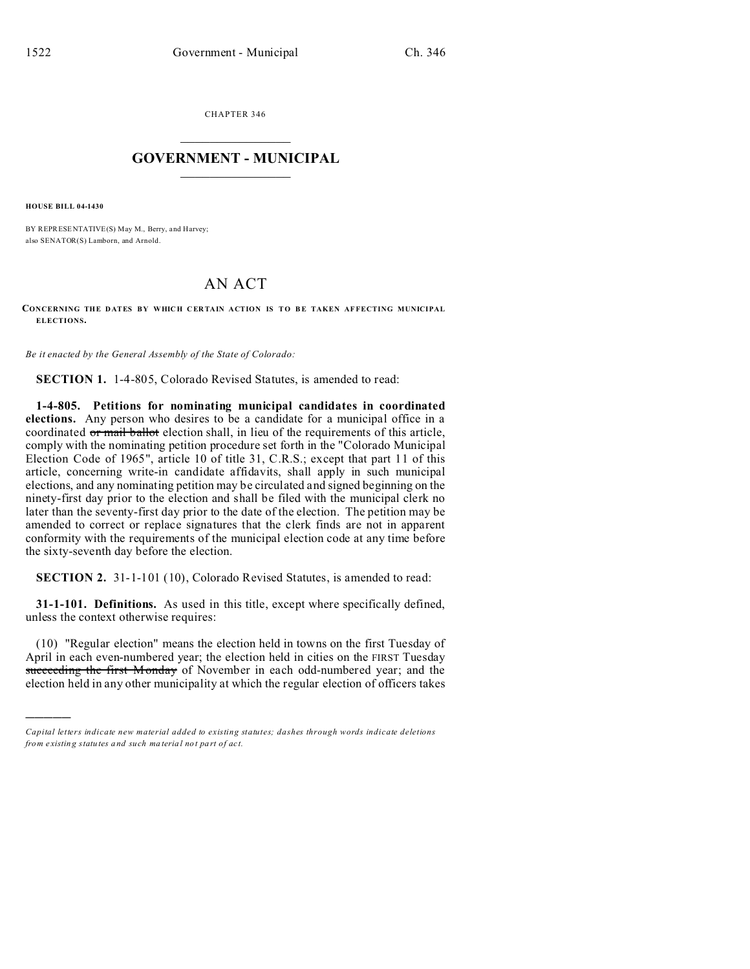CHAPTER 346  $\overline{\phantom{a}}$  , where  $\overline{\phantom{a}}$ 

## **GOVERNMENT - MUNICIPAL**  $\_$   $\_$

**HOUSE BILL 04-1430**

)))))

BY REPRESENTATIVE(S) May M., Berry, and Harvey; also SENATOR(S) Lamborn, and Arnold.

## AN ACT

## **CONCERNING THE D ATES BY WHICH C ER TAIN ACTION IS TO B E TAKEN AF FECTING MUNICIPAL ELECTIONS.**

*Be it enacted by the General Assembly of the State of Colorado:*

**SECTION 1.** 1-4-805, Colorado Revised Statutes, is amended to read:

**1-4-805. Petitions for nominating municipal candidates in coordinated elections.** Any person who desires to be a candidate for a municipal office in a coordinated or mail ballot election shall, in lieu of the requirements of this article, comply with the nominating petition procedure set forth in the "Colorado Municipal Election Code of 1965", article 10 of title 31, C.R.S.; except that part 11 of this article, concerning write-in candidate affidavits, shall apply in such municipal elections, and any nominating petition may be circulated and signed beginning on the ninety-first day prior to the election and shall be filed with the municipal clerk no later than the seventy-first day prior to the date of the election. The petition may be amended to correct or replace signatures that the clerk finds are not in apparent conformity with the requirements of the municipal election code at any time before the sixty-seventh day before the election.

**SECTION 2.** 31-1-101 (10), Colorado Revised Statutes, is amended to read:

**31-1-101. Definitions.** As used in this title, except where specifically defined, unless the context otherwise requires:

(10) "Regular election" means the election held in towns on the first Tuesday of April in each even-numbered year; the election held in cities on the FIRST Tuesday succeeding the first Monday of November in each odd-numbered year; and the election held in any other municipality at which the regular election of officers takes

*Capital letters indicate new material added to existing statutes; dashes through words indicate deletions from e xistin g statu tes a nd such ma teria l no t pa rt of ac t.*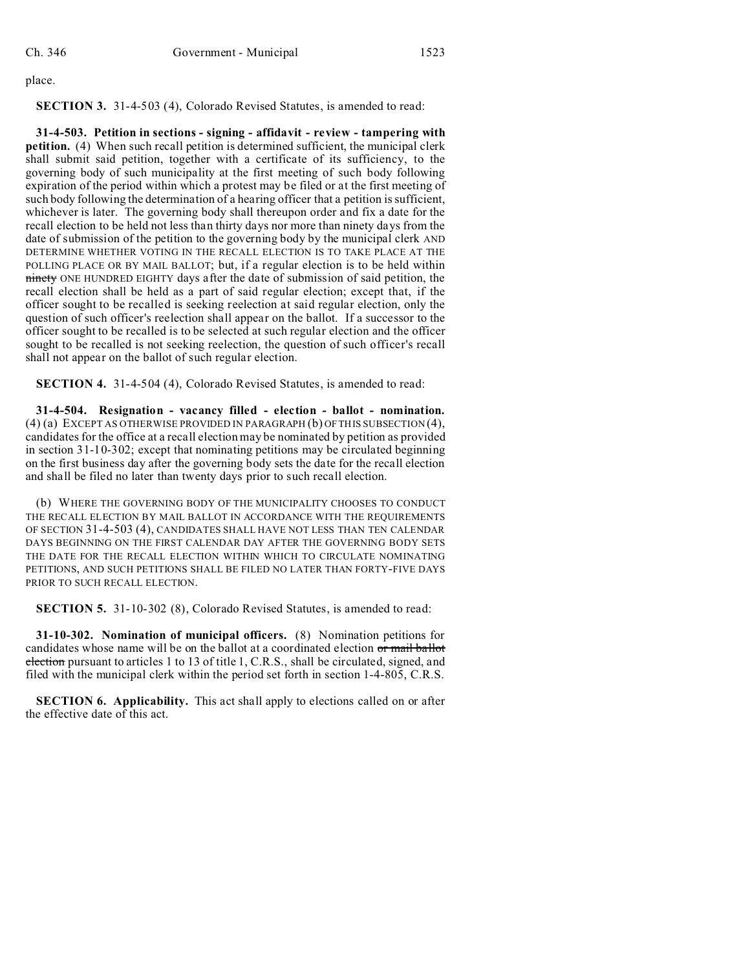place.

**SECTION 3.** 31-4-503 (4), Colorado Revised Statutes, is amended to read:

**31-4-503. Petition in sections - signing - affidavit - review - tampering with petition.** (4) When such recall petition is determined sufficient, the municipal clerk shall submit said petition, together with a certificate of its sufficiency, to the governing body of such municipality at the first meeting of such body following expiration of the period within which a protest may be filed or at the first meeting of such body following the determination of a hearing officer that a petition is sufficient, whichever is later. The governing body shall thereupon order and fix a date for the recall election to be held not less than thirty days nor more than ninety days from the date of submission of the petition to the governing body by the municipal clerk AND DETERMINE WHETHER VOTING IN THE RECALL ELECTION IS TO TAKE PLACE AT THE POLLING PLACE OR BY MAIL BALLOT; but, if a regular election is to be held within ninety ONE HUNDRED EIGHTY days after the date of submission of said petition, the recall election shall be held as a part of said regular election; except that, if the officer sought to be recalled is seeking reelection at said regular election, only the question of such officer's reelection shall appear on the ballot. If a successor to the officer sought to be recalled is to be selected at such regular election and the officer sought to be recalled is not seeking reelection, the question of such officer's recall shall not appear on the ballot of such regular election.

**SECTION 4.** 31-4-504 (4), Colorado Revised Statutes, is amended to read:

**31-4-504. Resignation - vacancy filled - election - ballot - nomination.** (4) (a) EXCEPT AS OTHERWISE PROVIDED IN PARAGRAPH (b) OF THIS SUBSECTION (4), candidates for the office at a recall election may be nominated by petition as provided in section 31-10-302; except that nominating petitions may be circulated beginning on the first business day after the governing body sets the date for the recall election and shall be filed no later than twenty days prior to such recall election.

(b) WHERE THE GOVERNING BODY OF THE MUNICIPALITY CHOOSES TO CONDUCT THE RECALL ELECTION BY MAIL BALLOT IN ACCORDANCE WITH THE REQUIREMENTS OF SECTION 31-4-503 (4), CANDIDATES SHALL HAVE NOT LESS THAN TEN CALENDAR DAYS BEGINNING ON THE FIRST CALENDAR DAY AFTER THE GOVERNING BODY SETS THE DATE FOR THE RECALL ELECTION WITHIN WHICH TO CIRCULATE NOMINATING PETITIONS, AND SUCH PETITIONS SHALL BE FILED NO LATER THAN FORTY-FIVE DAYS PRIOR TO SUCH RECALL ELECTION.

**SECTION 5.** 31-10-302 (8), Colorado Revised Statutes, is amended to read:

**31-10-302. Nomination of municipal officers.** (8) Nomination petitions for candidates whose name will be on the ballot at a coordinated election or mail ballot election pursuant to articles 1 to 13 of title 1, C.R.S., shall be circulated, signed, and filed with the municipal clerk within the period set forth in section 1-4-805, C.R.S.

**SECTION 6. Applicability.** This act shall apply to elections called on or after the effective date of this act.